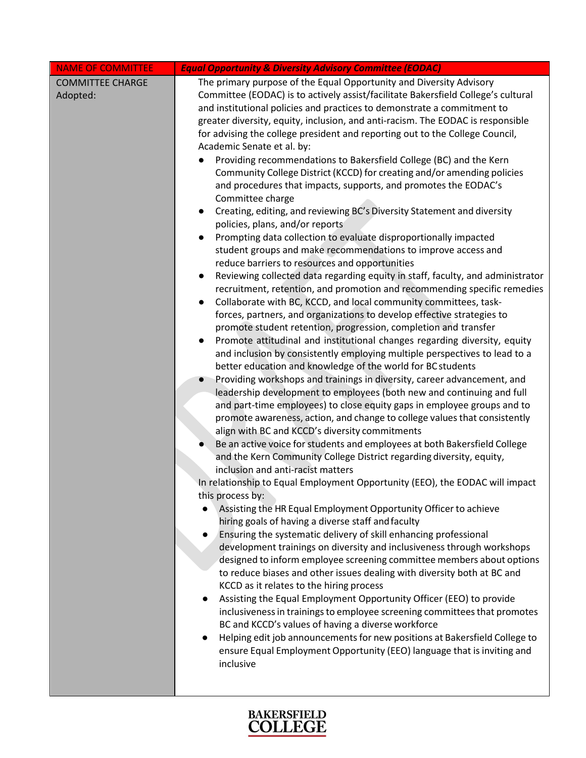| <b>NAME OF COMMITTEE</b>            | <b>Equal Opportunity &amp; Diversity Advisory Committee (EODAC)</b>                                                                                                                                                                                                                                                                                                                                                                                                                                                                                                                                                                                                                                                                                                                                                                                                                                                                                                                                                                                                                                                                                                                                                                                                                                                                                                                                                                                                                                                                                                                                                                                                                                                                                                                                                                                                                                                                                                                                                                                                                                                                                                                                                                                                                                                                                                                                                                                                                                                                                                                                                                                                                                                                                                                                                                                                                                                                                                                                                                                                                                                                                                             |
|-------------------------------------|---------------------------------------------------------------------------------------------------------------------------------------------------------------------------------------------------------------------------------------------------------------------------------------------------------------------------------------------------------------------------------------------------------------------------------------------------------------------------------------------------------------------------------------------------------------------------------------------------------------------------------------------------------------------------------------------------------------------------------------------------------------------------------------------------------------------------------------------------------------------------------------------------------------------------------------------------------------------------------------------------------------------------------------------------------------------------------------------------------------------------------------------------------------------------------------------------------------------------------------------------------------------------------------------------------------------------------------------------------------------------------------------------------------------------------------------------------------------------------------------------------------------------------------------------------------------------------------------------------------------------------------------------------------------------------------------------------------------------------------------------------------------------------------------------------------------------------------------------------------------------------------------------------------------------------------------------------------------------------------------------------------------------------------------------------------------------------------------------------------------------------------------------------------------------------------------------------------------------------------------------------------------------------------------------------------------------------------------------------------------------------------------------------------------------------------------------------------------------------------------------------------------------------------------------------------------------------------------------------------------------------------------------------------------------------------------------------------------------------------------------------------------------------------------------------------------------------------------------------------------------------------------------------------------------------------------------------------------------------------------------------------------------------------------------------------------------------------------------------------------------------------------------------------------------------|
| <b>COMMITTEE CHARGE</b><br>Adopted: | The primary purpose of the Equal Opportunity and Diversity Advisory<br>Committee (EODAC) is to actively assist/facilitate Bakersfield College's cultural<br>and institutional policies and practices to demonstrate a commitment to<br>greater diversity, equity, inclusion, and anti-racism. The EODAC is responsible<br>for advising the college president and reporting out to the College Council,<br>Academic Senate et al. by:<br>Providing recommendations to Bakersfield College (BC) and the Kern<br>$\bullet$<br>Community College District (KCCD) for creating and/or amending policies<br>and procedures that impacts, supports, and promotes the EODAC's<br>Committee charge<br>Creating, editing, and reviewing BC's Diversity Statement and diversity<br>$\bullet$<br>policies, plans, and/or reports<br>Prompting data collection to evaluate disproportionally impacted<br>student groups and make recommendations to improve access and<br>reduce barriers to resources and opportunities<br>Reviewing collected data regarding equity in staff, faculty, and administrator<br>$\bullet$<br>recruitment, retention, and promotion and recommending specific remedies<br>Collaborate with BC, KCCD, and local community committees, task-<br>$\bullet$<br>forces, partners, and organizations to develop effective strategies to<br>promote student retention, progression, completion and transfer<br>Promote attitudinal and institutional changes regarding diversity, equity<br>$\bullet$<br>and inclusion by consistently employing multiple perspectives to lead to a<br>better education and knowledge of the world for BC students<br>Providing workshops and trainings in diversity, career advancement, and<br>leadership development to employees (both new and continuing and full<br>and part-time employees) to close equity gaps in employee groups and to<br>promote awareness, action, and change to college values that consistently<br>align with BC and KCCD's diversity commitments<br>Be an active voice for students and employees at both Bakersfield College<br>and the Kern Community College District regarding diversity, equity,<br>inclusion and anti-racist matters<br>In relationship to Equal Employment Opportunity (EEO), the EODAC will impact<br>this process by:<br>Assisting the HR Equal Employment Opportunity Officer to achieve<br>hiring goals of having a diverse staff and faculty<br>Ensuring the systematic delivery of skill enhancing professional<br>development trainings on diversity and inclusiveness through workshops<br>designed to inform employee screening committee members about options<br>to reduce biases and other issues dealing with diversity both at BC and<br>KCCD as it relates to the hiring process<br>Assisting the Equal Employment Opportunity Officer (EEO) to provide<br>inclusiveness in trainings to employee screening committees that promotes<br>BC and KCCD's values of having a diverse workforce<br>Helping edit job announcements for new positions at Bakersfield College to<br>ensure Equal Employment Opportunity (EEO) language that is inviting and<br>inclusive |

## BAKERSFIELD<br>COLLEGE